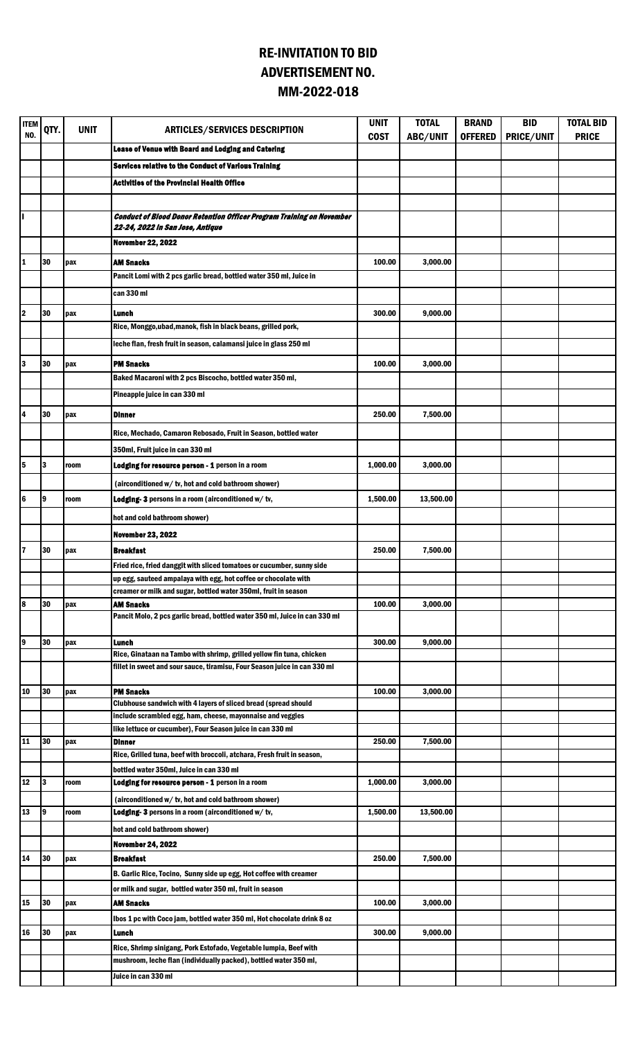## RE-INVITATION TO BID ADVERTISEMENT NO. MM-2022-018

| <b>ITEM</b><br>NO. | QTY. | <b>UNIT</b> | <b>ARTICLES/SERVICES DESCRIPTION</b>                                                                             | <b>UNIT</b><br><b>COST</b> | <b>TOTAL</b><br>ABC/UNIT | <b>BRAND</b><br><b>OFFERED</b> | <b>BID</b><br>PRICE/UNIT | <b>TOTAL BID</b><br><b>PRICE</b> |
|--------------------|------|-------------|------------------------------------------------------------------------------------------------------------------|----------------------------|--------------------------|--------------------------------|--------------------------|----------------------------------|
|                    |      |             | Lease of Venue with Board and Lodging and Catering                                                               |                            |                          |                                |                          |                                  |
|                    |      |             | Services relative to the Conduct of Various Training                                                             |                            |                          |                                |                          |                                  |
|                    |      |             | <b>Activities of the Provincial Health Office</b>                                                                |                            |                          |                                |                          |                                  |
|                    |      |             |                                                                                                                  |                            |                          |                                |                          |                                  |
| ı                  |      |             | <b>Conduct of Blood Donor Retention Officer Program Training on November</b><br>22-24, 2022 in San Jose, Antique |                            |                          |                                |                          |                                  |
|                    |      |             | <b>November 22, 2022</b>                                                                                         |                            |                          |                                |                          |                                  |
| 1                  | 30   | pax         | AM Snacks                                                                                                        | 100.00                     | 3,000.00                 |                                |                          |                                  |
|                    |      |             | Pancit Lomi with 2 pcs garlic bread, bottled water 350 ml, Juice in                                              |                            |                          |                                |                          |                                  |
|                    |      |             | can 330 ml                                                                                                       |                            |                          |                                |                          |                                  |
|                    |      |             |                                                                                                                  |                            |                          |                                |                          |                                  |
| 12                 | 30   | pax         | Lunch<br>Rice, Monggo, ubad, manok, fish in black beans, grilled pork,                                           | 300.00                     | 9,000.00                 |                                |                          |                                  |
|                    |      |             |                                                                                                                  |                            |                          |                                |                          |                                  |
|                    |      |             | leche flan, fresh fruit in season, calamansi juice in glass 250 ml                                               |                            |                          |                                |                          |                                  |
| 3                  | 30   | pax         | <b>PM Snacks</b>                                                                                                 | 100.00                     | 3,000.00                 |                                |                          |                                  |
|                    |      |             | Baked Macaroni with 2 pcs Biscocho, bottled water 350 ml,                                                        |                            |                          |                                |                          |                                  |
|                    |      |             | Pineapple juice in can 330 ml                                                                                    |                            |                          |                                |                          |                                  |
| l4                 | 30   | pax         | <b>Dinner</b>                                                                                                    | 250.00                     | 7,500.00                 |                                |                          |                                  |
|                    |      |             | Rice, Mechado, Camaron Rebosado, Fruit in Season, bottled water                                                  |                            |                          |                                |                          |                                  |
|                    |      |             | 350ml, Fruit juice in can 330 ml                                                                                 |                            |                          |                                |                          |                                  |
| l5                 | 3    | room        | Lodging for resource person - 1 person in a room                                                                 | 1,000.00                   | 3,000.00                 |                                |                          |                                  |
|                    |      |             |                                                                                                                  |                            |                          |                                |                          |                                  |
|                    |      |             | (airconditioned w/tv, hot and cold bathroom shower)                                                              |                            |                          |                                |                          |                                  |
| l6                 | 9    | room        | Lodging-3 persons in a room (airconditioned w/tv,                                                                | 1,500.00                   | 13,500.00                |                                |                          |                                  |
|                    |      |             | hot and cold bathroom shower)                                                                                    |                            |                          |                                |                          |                                  |
|                    |      |             | <b>November 23, 2022</b>                                                                                         |                            |                          |                                |                          |                                  |
| $\overline{7}$     | 30   | pax         | <b>Breakfast</b>                                                                                                 | 250.00                     | 7,500.00                 |                                |                          |                                  |
|                    |      |             | Fried rice, fried danggit with sliced tomatoes or cucumber, sunny side                                           |                            |                          |                                |                          |                                  |
|                    |      |             | up egg, sauteed ampalaya with egg, hot coffee or chocolate with                                                  |                            |                          |                                |                          |                                  |
| 8                  | 30   |             | creamer or milk and sugar, bottled water 350ml, fruit in season                                                  | 100.00                     |                          |                                |                          |                                  |
|                    |      | pax         | AM Snacks<br>Pancit Molo, 2 pcs garlic bread, bottled water 350 ml, Juice in can 330 ml                          |                            | 3,000.00                 |                                |                          |                                  |
| l9                 | 30   | pax         | Lunch                                                                                                            | 300.00                     | 9,000.00                 |                                |                          |                                  |
|                    |      |             | Rice, Ginataan na Tambo with shrimp, grilled yellow fin tuna, chicken                                            |                            |                          |                                |                          |                                  |
|                    |      |             | fillet in sweet and sour sauce, tiramisu, Four Season juice in can 330 ml                                        |                            |                          |                                |                          |                                  |
| 10                 | 30   | pax         | <b>PM Snacks</b>                                                                                                 | 100.00                     | 3,000.00                 |                                |                          |                                  |
|                    |      |             | Clubhouse sandwich with 4 layers of sliced bread (spread should                                                  |                            |                          |                                |                          |                                  |
|                    |      |             | include scrambled egg, ham, cheese, mayonnaise and veggies                                                       |                            |                          |                                |                          |                                  |
|                    |      |             | like lettuce or cucumber), Four Season juice in can 330 ml                                                       |                            |                          |                                |                          |                                  |
| 11                 | 30   | pax         | Dinner<br>Rice, Grilled tuna, beef with broccoli, atchara, Fresh fruit in season,                                | 250.00                     | 7,500.00                 |                                |                          |                                  |
|                    |      |             | bottled water 350ml, Juice in can 330 ml                                                                         |                            |                          |                                |                          |                                  |
| 12                 | 13   | room        | Lodging for resource person - 1 person in a room                                                                 | 1,000.00                   | 3,000.00                 |                                |                          |                                  |
|                    |      |             | (airconditioned w/tv, hot and cold bathroom shower)                                                              |                            |                          |                                |                          |                                  |
| 13                 | l9   | room        | Lodging-3 persons in a room (airconditioned w/tv,                                                                | 1,500.00                   | 13,500.00                |                                |                          |                                  |
|                    |      |             | hot and cold bathroom shower)                                                                                    |                            |                          |                                |                          |                                  |
|                    |      |             | <b>November 24, 2022</b>                                                                                         |                            |                          |                                |                          |                                  |
| 14                 | 30   | pax         | <b>Breakfast</b>                                                                                                 | 250.00                     | 7,500.00                 |                                |                          |                                  |
|                    |      |             | B. Garlic Rice, Tocino, Sunny side up egg, Hot coffee with creamer                                               |                            |                          |                                |                          |                                  |
|                    |      |             | or milk and sugar, bottled water 350 ml, fruit in season                                                         |                            |                          |                                |                          |                                  |
| 15                 | 30   | pax         | AM Snacks                                                                                                        | 100.00                     | 3,000.00                 |                                |                          |                                  |
|                    |      |             | lbos 1 pc with Coco jam, bottled water 350 ml, Hot chocolate drink 8 oz                                          |                            |                          |                                |                          |                                  |
| 16                 | 30   | pax         | Lunch                                                                                                            | 300.00                     | 9,000.00                 |                                |                          |                                  |
|                    |      |             | Rice, Shrimp sinigang, Pork Estofado, Vegetable lumpia, Beef with                                                |                            |                          |                                |                          |                                  |
|                    |      |             | mushroom, leche flan (individually packed), bottled water 350 ml,                                                |                            |                          |                                |                          |                                  |
|                    |      |             | Juice in can 330 ml                                                                                              |                            |                          |                                |                          |                                  |